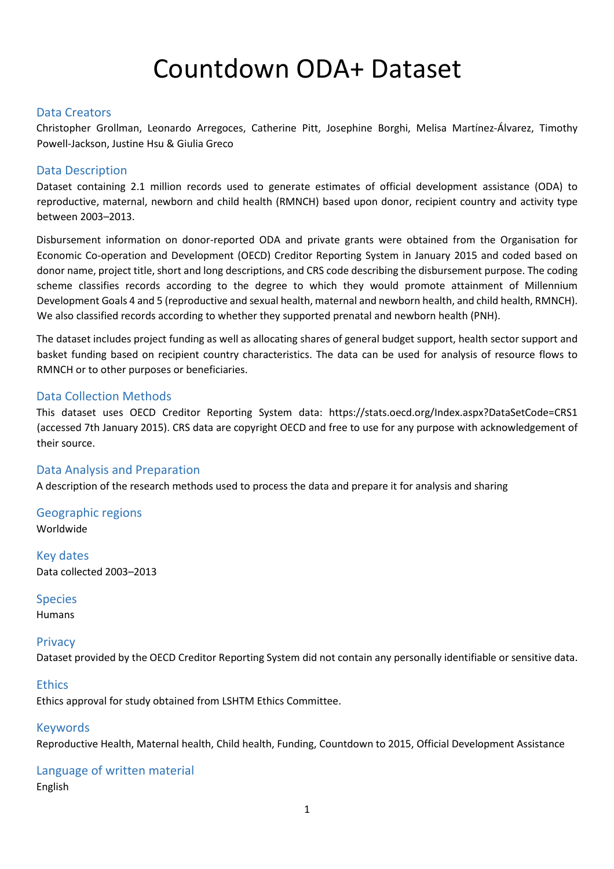# Countdown ODA+ Dataset

#### Data Creators

Christopher Grollman, Leonardo Arregoces, Catherine Pitt, Josephine Borghi, Melisa Martínez-Álvarez, Timothy Powell-Jackson, Justine Hsu & Giulia Greco

#### Data Description

Dataset containing 2.1 million records used to generate estimates of official development assistance (ODA) to reproductive, maternal, newborn and child health (RMNCH) based upon donor, recipient country and activity type between 2003–2013.

Disbursement information on donor-reported ODA and private grants were obtained from the Organisation for Economic Co-operation and Development (OECD) Creditor Reporting System in January 2015 and coded based on donor name, project title, short and long descriptions, and CRS code describing the disbursement purpose. The coding scheme classifies records according to the degree to which they would promote attainment of Millennium Development Goals 4 and 5 (reproductive and sexual health, maternal and newborn health, and child health, RMNCH). We also classified records according to whether they supported prenatal and newborn health (PNH).

The dataset includes project funding as well as allocating shares of general budget support, health sector support and basket funding based on recipient country characteristics. The data can be used for analysis of resource flows to RMNCH or to other purposes or beneficiaries.

#### Data Collection Methods

This dataset uses OECD Creditor Reporting System data: https://stats.oecd.org/Index.aspx?DataSetCode=CRS1 (accessed 7th January 2015). CRS data are copyright OECD and free to use for any purpose with acknowledgement of their source.

#### Data Analysis and Preparation

A description of the research methods used to process the data and prepare it for analysis and sharing

Geographic regions Worldwide

Key dates Data collected 2003–2013

#### Species Humans

### **Privacy**

Dataset provided by the OECD Creditor Reporting System did not contain any personally identifiable or sensitive data.

#### **Ethics**

Ethics approval for study obtained from LSHTM Ethics Committee.

#### Keywords

Reproductive Health, Maternal health, Child health, Funding, Countdown to 2015, Official Development Assistance

## Language of written material

English